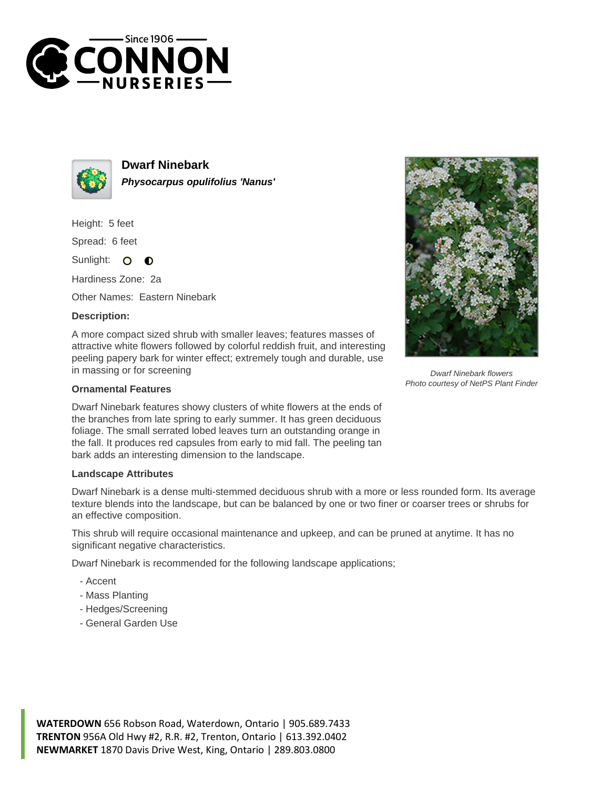



**Dwarf Ninebark Physocarpus opulifolius 'Nanus'**

Height: 5 feet

Spread: 6 feet

Sunlight: O  $\bullet$ 

Hardiness Zone: 2a

Other Names: Eastern Ninebark

## **Description:**

A more compact sized shrub with smaller leaves; features masses of attractive white flowers followed by colorful reddish fruit, and interesting peeling papery bark for winter effect; extremely tough and durable, use in massing or for screening

## **Ornamental Features**

Dwarf Ninebark features showy clusters of white flowers at the ends of the branches from late spring to early summer. It has green deciduous foliage. The small serrated lobed leaves turn an outstanding orange in the fall. It produces red capsules from early to mid fall. The peeling tan bark adds an interesting dimension to the landscape.

## **Landscape Attributes**

Dwarf Ninebark is a dense multi-stemmed deciduous shrub with a more or less rounded form. Its average texture blends into the landscape, but can be balanced by one or two finer or coarser trees or shrubs for an effective composition.

This shrub will require occasional maintenance and upkeep, and can be pruned at anytime. It has no significant negative characteristics.

Dwarf Ninebark is recommended for the following landscape applications;

- Accent
- Mass Planting
- Hedges/Screening
- General Garden Use



Dwarf Ninebark flowers Photo courtesy of NetPS Plant Finder